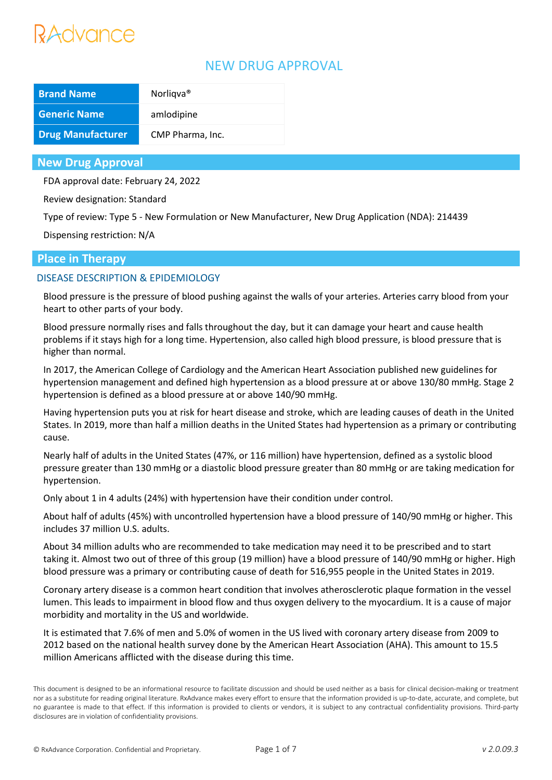# Advance

# NEW DRUG APPROVAL

| <b>Brand Name</b>        | Norligva <sup>®</sup> |
|--------------------------|-----------------------|
| <b>Generic Name</b>      | amlodipine            |
| <b>Drug Manufacturer</b> | CMP Pharma, Inc.      |

## **New Drug Approval**

FDA approval date: February 24, 2022

Review designation: Standard

Type of review: Type 5 - New Formulation or New Manufacturer, New Drug Application (NDA): 214439

Dispensing restriction: N/A

## **Place in Therapy**

## DISEASE DESCRIPTION & EPIDEMIOLOGY

Blood pressure is the pressure of blood pushing against the walls of your arteries. Arteries carry blood from your heart to other parts of your body.

Blood pressure normally rises and falls throughout the day, but it can damage your heart and cause health problems if it stays high for a long time. Hypertension, also called high blood pressure, is blood pressure that is higher than normal.

In 2017, the American College of Cardiology and the American Heart Association published new guidelines for hypertension management and defined high hypertension as a blood pressure at or above 130/80 mmHg. Stage 2 hypertension is defined as a blood pressure at or above 140/90 mmHg.

Having hypertension puts you at risk for heart disease and stroke, which are leading causes of death in the United States. In 2019, more than half a million deaths in the United States had hypertension as a primary or contributing cause.

Nearly half of adults in the United States (47%, or 116 million) have hypertension, defined as a systolic blood pressure greater than 130 mmHg or a diastolic blood pressure greater than 80 mmHg or are taking medication for hypertension.

Only about 1 in 4 adults (24%) with hypertension have their condition under control.

About half of adults (45%) with uncontrolled hypertension have a blood pressure of 140/90 mmHg or higher. This includes 37 million U.S. adults.

About 34 million adults who are recommended to take medication may need it to be prescribed and to start taking it. Almost two out of three of this group (19 million) have a blood pressure of 140/90 mmHg or higher. High blood pressure was a primary or contributing cause of death for 516,955 people in the United States in 2019.

Coronary artery disease is a common heart condition that involves atherosclerotic plaque formation in the vessel lumen. This leads to impairment in blood flow and thus oxygen delivery to the myocardium. It is a cause of major morbidity and mortality in the US and worldwide.

It is estimated that 7.6% of men and 5.0% of women in the US lived with coronary artery disease from 2009 to 2012 based on the national health survey done by the American Heart Association (AHA). This amount to 15.5 million Americans afflicted with the disease during this time.

This document is designed to be an informational resource to facilitate discussion and should be used neither as a basis for clinical decision-making or treatment nor as a substitute for reading original literature. RxAdvance makes every effort to ensure that the information provided is up-to-date, accurate, and complete, but no guarantee is made to that effect. If this information is provided to clients or vendors, it is subject to any contractual confidentiality provisions. Third-party disclosures are in violation of confidentiality provisions.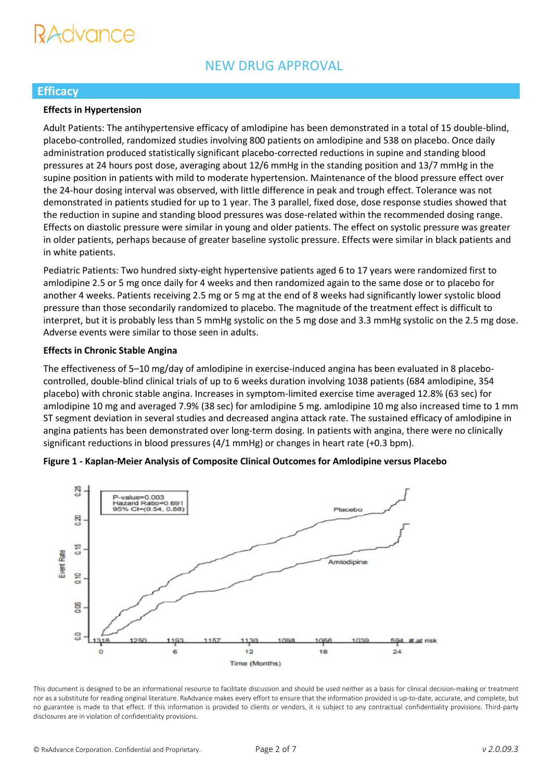# **SYYUNUU**

# **Efficacy**

#### **Effects in Hypertension**

Adult Patients: The antihypertensive efficacy of amlodipine has been demonstrated in a total of 15 double-blind, placebo-controlled, randomized studies involving 800 patients on amlodipine and 538 on placebo. Once daily administration produced statistically significant placebo-corrected reductions in supine and standing blood pressures at 24 hours post dose, averaging about 12/6 mmHg in the standing position and 13/7 mmHg in the supine position in patients with mild to moderate hypertension. Maintenance of the blood pressure effect over the 24-hour dosing interval was observed, with little difference in peak and trough effect. Tolerance was not demonstrated in patients studied for up to 1 year. The 3 parallel, fixed dose, dose response studies showed that the reduction in supine and standing blood pressures was dose-related within the recommended dosing range. Effects on diastolic pressure were similar in young and older patients. The effect on systolic pressure was greater in older patients, perhaps because of greater baseline systolic pressure. Effects were similar in black patients and in white patients.

Pediatric Patients: Two hundred sixty-eight hypertensive patients aged 6 to 17 years were randomized first to amlodipine 2.5 or 5 mg once daily for 4 weeks and then randomized again to the same dose or to placebo for another 4 weeks. Patients receiving 2.5 mg or 5 mg at the end of 8 weeks had significantly lower systolic blood pressure than those secondarily randomized to placebo. The magnitude of the treatment effect is difficult to interpret, but it is probably less than 5 mmHg systolic on the 5 mg dose and 3.3 mmHg systolic on the 2.5 mg dose. Adverse events were similar to those seen in adults.

#### **Effects in Chronic Stable Angina**

The effectiveness of 5–10 mg/day of amlodipine in exercise-induced angina has been evaluated in 8 placebocontrolled, double-blind clinical trials of up to 6 weeks duration involving 1038 patients (684 amlodipine, 354 placebo) with chronic stable angina. Increases in symptom-limited exercise time averaged 12.8% (63 sec) for amlodipine 10 mg and averaged 7.9% (38 sec) for amlodipine 5 mg. amlodipine 10 mg also increased time to 1 mm ST segment deviation in several studies and decreased angina attack rate. The sustained efficacy of amlodipine in angina patients has been demonstrated over long-term dosing. In patients with angina, there were no clinically significant reductions in blood pressures (4/1 mmHg) or changes in heart rate (+0.3 bpm).



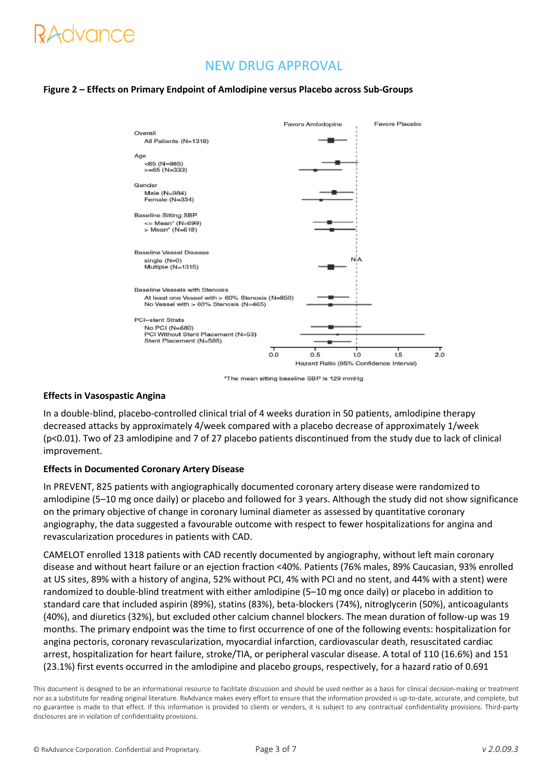# tavance

# NEW DRUG APPROVAL

### **Figure 2 – Effects on Primary Endpoint of Amlodipine versus Placebo across Sub-Groups**



\*The mean sitting baseline SBP is 129 mmHg

### **Effects in Vasospastic Angina**

In a double-blind, placebo-controlled clinical trial of 4 weeks duration in 50 patients, amlodipine therapy decreased attacks by approximately 4/week compared with a placebo decrease of approximately 1/week (p<0.01). Two of 23 amlodipine and 7 of 27 placebo patients discontinued from the study due to lack of clinical improvement.

#### **Effects in Documented Coronary Artery Disease**

In PREVENT, 825 patients with angiographically documented coronary artery disease were randomized to amlodipine (5–10 mg once daily) or placebo and followed for 3 years. Although the study did not show significance on the primary objective of change in coronary luminal diameter as assessed by quantitative coronary angiography, the data suggested a favourable outcome with respect to fewer hospitalizations for angina and revascularization procedures in patients with CAD.

CAMELOT enrolled 1318 patients with CAD recently documented by angiography, without left main coronary disease and without heart failure or an ejection fraction <40%. Patients (76% males, 89% Caucasian, 93% enrolled at US sites, 89% with a history of angina, 52% without PCI, 4% with PCI and no stent, and 44% with a stent) were randomized to double-blind treatment with either amlodipine (5–10 mg once daily) or placebo in addition to standard care that included aspirin (89%), statins (83%), beta-blockers (74%), nitroglycerin (50%), anticoagulants (40%), and diuretics (32%), but excluded other calcium channel blockers. The mean duration of follow-up was 19 months. The primary endpoint was the time to first occurrence of one of the following events: hospitalization for angina pectoris, coronary revascularization, myocardial infarction, cardiovascular death, resuscitated cardiac arrest, hospitalization for heart failure, stroke/TIA, or peripheral vascular disease. A total of 110 (16.6%) and 151 (23.1%) first events occurred in the amlodipine and placebo groups, respectively, for a hazard ratio of 0.691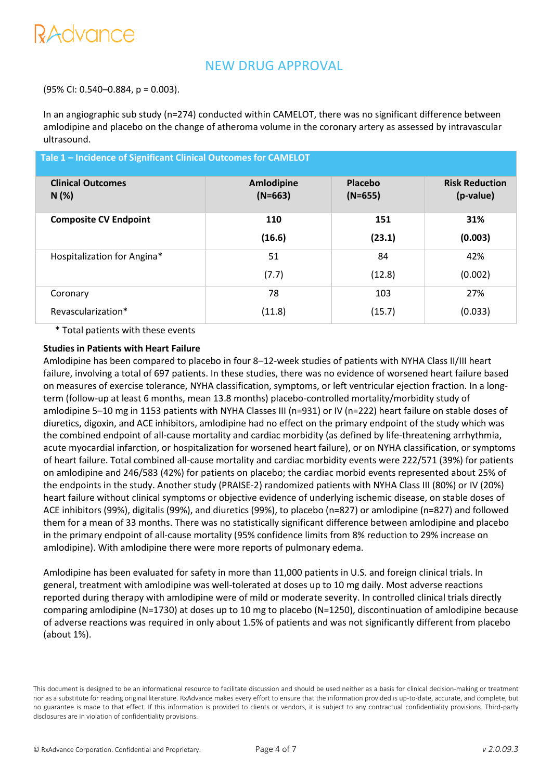# RAdvance

# NEW DRUG APPROVAL

(95% CI: 0.540–0.884, p = 0.003).

In an angiographic sub study (n=274) conducted within CAMELOT, there was no significant difference between amlodipine and placebo on the change of atheroma volume in the coronary artery as assessed by intravascular ultrasound.

| Tale 1 - Incidence of Significant Clinical Outcomes for CAMELOT |                         |                      |                                    |  |  |
|-----------------------------------------------------------------|-------------------------|----------------------|------------------------------------|--|--|
| <b>Clinical Outcomes</b><br>N(%)                                | Amlodipine<br>$(N=663)$ | Placebo<br>$(N=655)$ | <b>Risk Reduction</b><br>(p-value) |  |  |
| <b>Composite CV Endpoint</b>                                    | 110                     | 151                  | 31%                                |  |  |
|                                                                 | (16.6)                  | (23.1)               | (0.003)                            |  |  |
| Hospitalization for Angina*                                     | 51                      | 84                   | 42%                                |  |  |
|                                                                 | (7.7)                   | (12.8)               | (0.002)                            |  |  |
| Coronary                                                        | 78                      | 103                  | 27%                                |  |  |
| Revascularization*                                              | (11.8)                  | (15.7)               | (0.033)                            |  |  |

\* Total patients with these events

#### **Studies in Patients with Heart Failure**

Amlodipine has been compared to placebo in four 8–12-week studies of patients with NYHA Class II/III heart failure, involving a total of 697 patients. In these studies, there was no evidence of worsened heart failure based on measures of exercise tolerance, NYHA classification, symptoms, or left ventricular ejection fraction. In a longterm (follow-up at least 6 months, mean 13.8 months) placebo-controlled mortality/morbidity study of amlodipine 5–10 mg in 1153 patients with NYHA Classes III (n=931) or IV (n=222) heart failure on stable doses of diuretics, digoxin, and ACE inhibitors, amlodipine had no effect on the primary endpoint of the study which was the combined endpoint of all-cause mortality and cardiac morbidity (as defined by life-threatening arrhythmia, acute myocardial infarction, or hospitalization for worsened heart failure), or on NYHA classification, or symptoms of heart failure. Total combined all-cause mortality and cardiac morbidity events were 222/571 (39%) for patients on amlodipine and 246/583 (42%) for patients on placebo; the cardiac morbid events represented about 25% of the endpoints in the study. Another study (PRAISE-2) randomized patients with NYHA Class III (80%) or IV (20%) heart failure without clinical symptoms or objective evidence of underlying ischemic disease, on stable doses of ACE inhibitors (99%), digitalis (99%), and diuretics (99%), to placebo (n=827) or amlodipine (n=827) and followed them for a mean of 33 months. There was no statistically significant difference between amlodipine and placebo in the primary endpoint of all-cause mortality (95% confidence limits from 8% reduction to 29% increase on amlodipine). With amlodipine there were more reports of pulmonary edema.

Amlodipine has been evaluated for safety in more than 11,000 patients in U.S. and foreign clinical trials. In general, treatment with amlodipine was well-tolerated at doses up to 10 mg daily. Most adverse reactions reported during therapy with amlodipine were of mild or moderate severity. In controlled clinical trials directly comparing amlodipine (N=1730) at doses up to 10 mg to placebo (N=1250), discontinuation of amlodipine because of adverse reactions was required in only about 1.5% of patients and was not significantly different from placebo (about 1%).

This document is designed to be an informational resource to facilitate discussion and should be used neither as a basis for clinical decision-making or treatment nor as a substitute for reading original literature. RxAdvance makes every effort to ensure that the information provided is up-to-date, accurate, and complete, but no guarantee is made to that effect. If this information is provided to clients or vendors, it is subject to any contractual confidentiality provisions. Third-party disclosures are in violation of confidentiality provisions.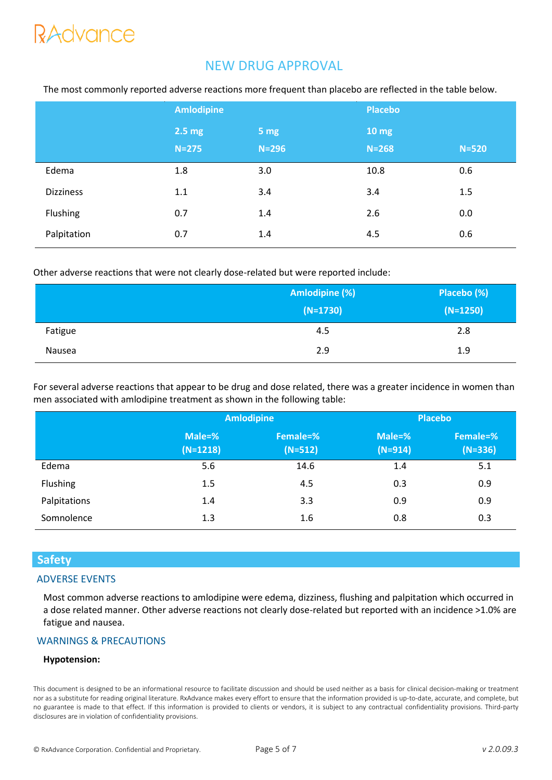# **RAdvance**

# NEW DRUG APPROVAL

|                  | <b>Amlodipine</b> |           | <b>Placebo</b>  |           |
|------------------|-------------------|-----------|-----------------|-----------|
|                  | $2.5 \text{ mg}$  | 5 mg      | $10 \text{ mg}$ |           |
|                  | $N=275$           | $N = 296$ | $N = 268$       | $N = 520$ |
| Edema            | 1.8               | 3.0       | 10.8            | 0.6       |
| <b>Dizziness</b> | 1.1               | 3.4       | 3.4             | 1.5       |
| Flushing         | 0.7               | 1.4       | 2.6             | 0.0       |
| Palpitation      | 0.7               | 1.4       | 4.5             | 0.6       |

The most commonly reported adverse reactions more frequent than placebo are reflected in the table below.

Other adverse reactions that were not clearly dose-related but were reported include:

|         | Amlodipine (%) | Placebo (%) |  |
|---------|----------------|-------------|--|
|         | $(N=1730)$     | $(N=1250)$  |  |
| Fatigue | 4.5            | 2.8         |  |
| Nausea  | 2.9            | 1.9         |  |

For several adverse reactions that appear to be drug and dose related, there was a greater incidence in women than men associated with amlodipine treatment as shown in the following table:

|              | <b>Amlodipine</b>    |                       | <b>Placebo</b>      |                       |
|--------------|----------------------|-----------------------|---------------------|-----------------------|
|              | Male=%<br>$(N=1218)$ | Female=%<br>$(N=512)$ | Male=%<br>$(N=914)$ | Female=%<br>$(N=336)$ |
| Edema        | 5.6                  | 14.6                  | 1.4                 | 5.1                   |
| Flushing     | 1.5                  | 4.5                   | 0.3                 | 0.9                   |
| Palpitations | 1.4                  | 3.3                   | 0.9                 | 0.9                   |
| Somnolence   | 1.3                  | 1.6                   | 0.8                 | 0.3                   |

# **Safety**

## ADVERSE EVENTS

Most common adverse reactions to amlodipine were edema, dizziness, flushing and palpitation which occurred in a dose related manner. Other adverse reactions not clearly dose-related but reported with an incidence >1.0% are fatigue and nausea.

# WARNINGS & PRECAUTIONS

### **Hypotension:**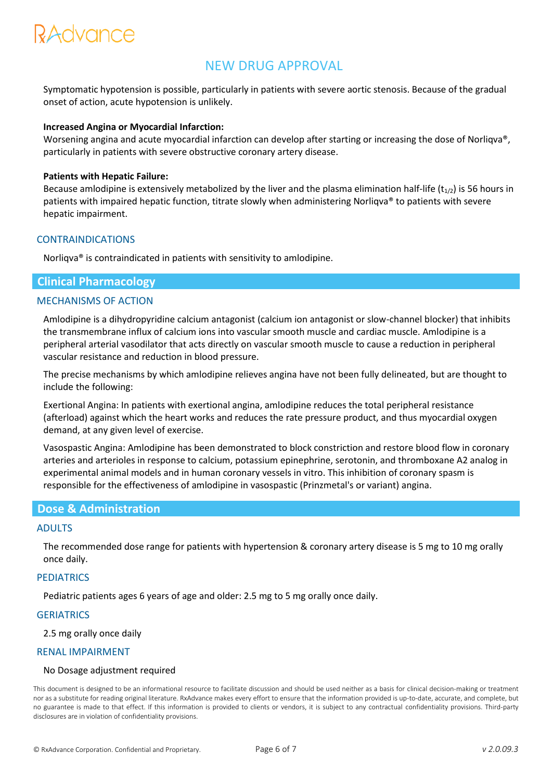# RAdvance

# NEW DRUG APPROVAL

Symptomatic hypotension is possible, particularly in patients with severe aortic stenosis. Because of the gradual onset of action, acute hypotension is unlikely.

### **Increased Angina or Myocardial Infarction:**

Worsening angina and acute myocardial infarction can develop after starting or increasing the dose of Norliqva®, particularly in patients with severe obstructive coronary artery disease.

#### **Patients with Hepatic Failure:**

Because amlodipine is extensively metabolized by the liver and the plasma elimination half-life ( $t_{1/2}$ ) is 56 hours in patients with impaired hepatic function, titrate slowly when administering Norliqva® to patients with severe hepatic impairment.

#### CONTRAINDICATIONS

Norliqva® is contraindicated in patients with sensitivity to amlodipine.

### **Clinical Pharmacology**

## MECHANISMS OF ACTION

Amlodipine is a dihydropyridine calcium antagonist (calcium ion antagonist or slow-channel blocker) that inhibits the transmembrane influx of calcium ions into vascular smooth muscle and cardiac muscle. Amlodipine is a peripheral arterial vasodilator that acts directly on vascular smooth muscle to cause a reduction in peripheral vascular resistance and reduction in blood pressure.

The precise mechanisms by which amlodipine relieves angina have not been fully delineated, but are thought to include the following:

Exertional Angina: In patients with exertional angina, amlodipine reduces the total peripheral resistance (afterload) against which the heart works and reduces the rate pressure product, and thus myocardial oxygen demand, at any given level of exercise.

Vasospastic Angina: Amlodipine has been demonstrated to block constriction and restore blood flow in coronary arteries and arterioles in response to calcium, potassium epinephrine, serotonin, and thromboxane A2 analog in experimental animal models and in human coronary vessels in vitro. This inhibition of coronary spasm is responsible for the effectiveness of amlodipine in vasospastic (Prinzmetal's or variant) angina.

### **Dose & Administration**

#### ADULTS

The recommended dose range for patients with hypertension & coronary artery disease is 5 mg to 10 mg orally once daily.

#### **PEDIATRICS**

Pediatric patients ages 6 years of age and older: 2.5 mg to 5 mg orally once daily.

### **GERIATRICS**

2.5 mg orally once daily

#### RENAL IMPAIRMENT

#### No Dosage adjustment required